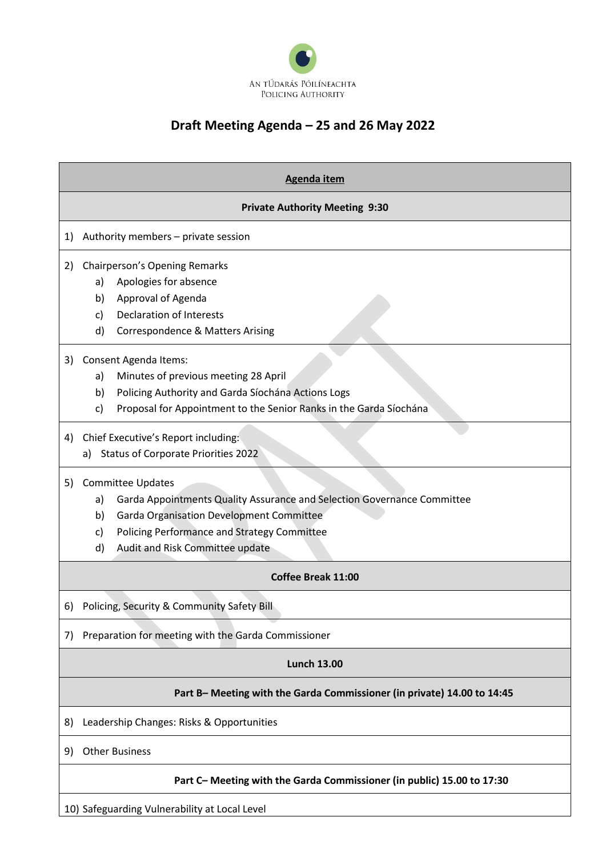

## **Draft Meeting Agenda – 25 and 26 May 2022**

|    | <b>Agenda item</b>                                                                                                                                                                                                                                               |
|----|------------------------------------------------------------------------------------------------------------------------------------------------------------------------------------------------------------------------------------------------------------------|
|    | <b>Private Authority Meeting 9:30</b>                                                                                                                                                                                                                            |
| 1) | Authority members - private session                                                                                                                                                                                                                              |
| 2) | Chairperson's Opening Remarks<br>Apologies for absence<br>a)<br>Approval of Agenda<br>b)<br><b>Declaration of Interests</b><br>c)<br>d)<br><b>Correspondence &amp; Matters Arising</b>                                                                           |
| 3) | Consent Agenda Items:<br>Minutes of previous meeting 28 April<br>a)<br>Policing Authority and Garda Síochána Actions Logs<br>b)<br>Proposal for Appointment to the Senior Ranks in the Garda Síochána<br>c)                                                      |
| 4) | Chief Executive's Report including:<br><b>Status of Corporate Priorities 2022</b><br>a)                                                                                                                                                                          |
| 5) | <b>Committee Updates</b><br>Garda Appointments Quality Assurance and Selection Governance Committee<br>a)<br><b>Garda Organisation Development Committee</b><br>b)<br>Policing Performance and Strategy Committee<br>c)<br>Audit and Risk Committee update<br>d) |
|    | Coffee Break 11:00                                                                                                                                                                                                                                               |
| 6) | Policing, Security & Community Safety Bill                                                                                                                                                                                                                       |
| 7) | Preparation for meeting with the Garda Commissioner                                                                                                                                                                                                              |
|    | <b>Lunch 13.00</b>                                                                                                                                                                                                                                               |
|    | Part B- Meeting with the Garda Commissioner (in private) 14.00 to 14:45                                                                                                                                                                                          |
| 8) | Leadership Changes: Risks & Opportunities                                                                                                                                                                                                                        |
| 9) | <b>Other Business</b>                                                                                                                                                                                                                                            |
|    | Part C- Meeting with the Garda Commissioner (in public) 15.00 to 17:30                                                                                                                                                                                           |

10) Safeguarding Vulnerability at Local Level